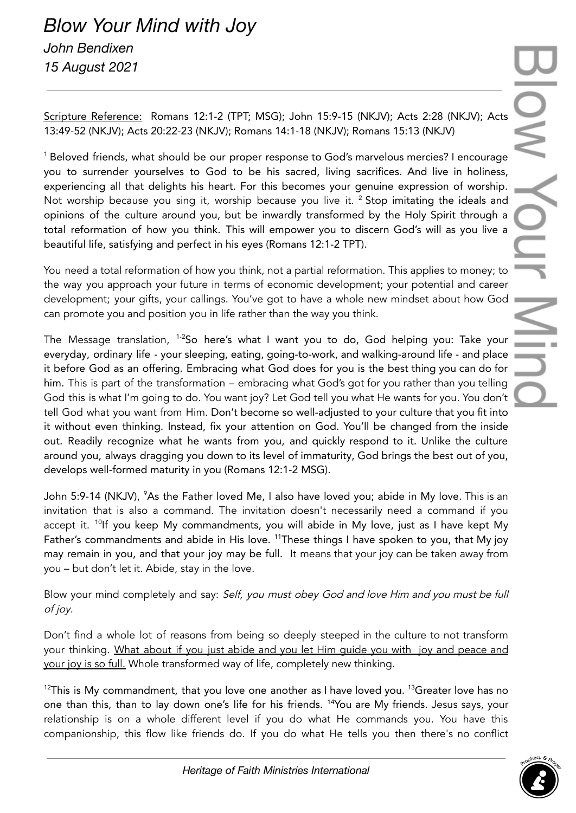Scripture Reference: Romans 12:1-2 (TPT; MSG); John 15:9-15 (NKJV); Acts 2:28 (NKJV); Acts 13:49-52 (NKJV); Acts 20:22-23 (NKJV); Romans 14:1-18 (NKJV); Romans 15:13 (NKJV)

<sup>1</sup> Beloved friends, what should be our proper response to God's marvelous mercies? I encourage you to surrender yourselves to God to be his sacred, living sacrifices. And live in holiness, experiencing all that delights his heart. For this becomes your genuine expression of worship. Not worship because you sing it, worship because you live it. <sup>2</sup> Stop imitating the ideals and opinions of the culture around you, but be inwardly transformed by the Holy Spirit through a total reformation of how you think. This will empower you to discern God's will as you live a beautiful life, satisfying and perfect in his eyes (Romans 12:1-2 TPT).

You need a total reformation of how you think, not a partial reformation. This applies to money; to the way you approach your future in terms of economic development; your potential and career development; your gifts, your callings. You've got to have a whole new mindset about how God can promote you and position you in life rather than the way you think.

The Message translation, <sup>1-2</sup>So here's what I want you to do, God helping you: Take your everyday, ordinary life - your sleeping, eating, going-to-work, and walking-around life - and place it before God as an offering. Embracing what God does for you is the best thing you can do for him. This is part of the transformation – embracing what God's got for you rather than you telling God this is what I'm going to do. You want joy? Let God tell you what He wants for you. You don't tell God what you want from Him. Don't become so well-adjusted to your culture that you fit into it without even thinking. Instead, fix your attention on God. You'll be changed from the inside out. Readily recognize what he wants from you, and quickly respond to it. Unlike the culture around you, always dragging you down to its level of immaturity, God brings the best out of you, develops well-formed maturity in you (Romans 12:1-2 MSG).

John 5:9-14 (NKJV), <sup>9</sup>As the Father loved Me, I also have loved you; abide in My love. This is an invitation that is also a command. The invitation doesn't necessarily need a command if you accept it. <sup>10</sup>lf you keep My commandments, you will abide in My love, just as I have kept My Father's commandments and abide in His love. <sup>11</sup>These things I have spoken to you, that My joy may remain in you, and that your joy may be full. It means that your joy can be taken away from you – but don't let it. Abide, stay in the love.

Blow your mind completely and say: Self, you must obey God and love Him and you must be full of joy.

Don't find a whole lot of reasons from being so deeply steeped in the culture to not transform your thinking. What about if you just abide and you let Him guide you with joy and peace and your joy is so full. Whole transformed way of life, completely new thinking.

 $^{12}$ This is My commandment, that you love one another as I have loved you.  $^{13}$ Greater love has no one than this, than to lay down one's life for his friends. <sup>14</sup>You are My friends. Jesus says, your relationship is on a whole different level if you do what He commands you. You have this companionship, this flow like friends do. If you do what He tells you then there's no conflict

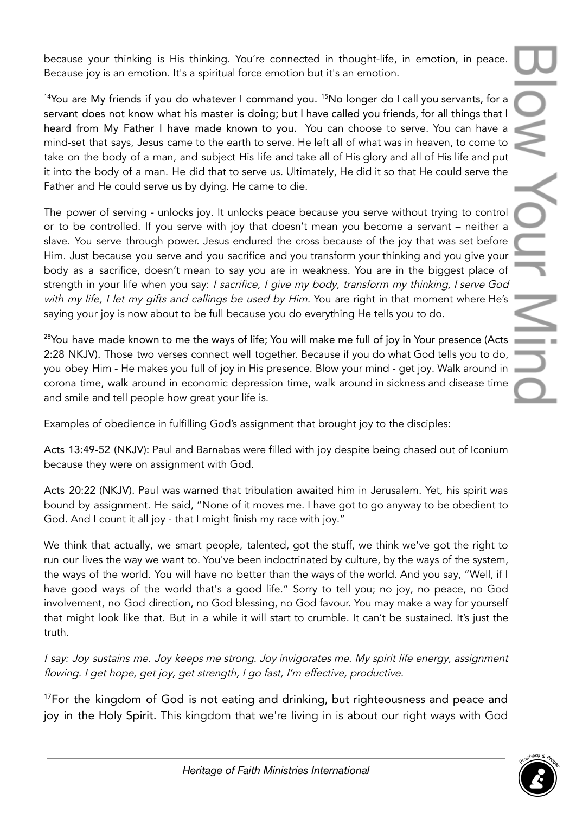because your thinking is His thinking. You're connected in thought-life, in emotion, in peace. Because joy is an emotion. It's a spiritual force emotion but it's an emotion.

<sup>14</sup>You are My friends if you do whatever I command you. <sup>15</sup>No longer do I call you servants, for a servant does not know what his master is doing; but I have called you friends, for all things that I heard from My Father I have made known to you. You can choose to serve. You can have a mind-set that says, Jesus came to the earth to serve. He left all of what was in heaven, to come to take on the body of a man, and subject His life and take all of His glory and all of His life and put it into the body of a man. He did that to serve us. Ultimately, He did it so that He could serve the Father and He could serve us by dying. He came to die.

The power of serving - unlocks joy. It unlocks peace because you serve without trying to control or to be controlled. If you serve with joy that doesn't mean you become a servant – neither a slave. You serve through power. Jesus endured the cross because of the joy that was set before Him. Just because you serve and you sacrifice and you transform your thinking and you give your body as a sacrifice, doesn't mean to say you are in weakness. You are in the biggest place of strength in your life when you say: I sacrifice, I give my body, transform my thinking, I serve God with my life, I let my gifts and callings be used by Him. You are right in that moment where He's saying your joy is now about to be full because you do everything He tells you to do.

<sup>28</sup>You have made known to me the ways of life; You will make me full of joy in Your presence (Acts 2:28 NKJV). Those two verses connect well together. Because if you do what God tells you to do, you obey Him - He makes you full of joy in His presence. Blow your mind - get joy. Walk around in corona time, walk around in economic depression time, walk around in sickness and disease time and smile and tell people how great your life is.

Examples of obedience in fulfilling God's assignment that brought joy to the disciples:

Acts 13:49-52 (NKJV): Paul and Barnabas were filled with joy despite being chased out of Iconium because they were on assignment with God.

Acts 20:22 (NKJV). Paul was warned that tribulation awaited him in Jerusalem. Yet, his spirit was bound by assignment. He said, "None of it moves me. I have got to go anyway to be obedient to God. And I count it all joy - that I might finish my race with joy."

We think that actually, we smart people, talented, got the stuff, we think we've got the right to run our lives the way we want to. You've been indoctrinated by culture, by the ways of the system, the ways of the world. You will have no better than the ways of the world. And you say, "Well, if I have good ways of the world that's a good life." Sorry to tell you; no joy, no peace, no God involvement, no God direction, no God blessing, no God favour. You may make a way for yourself that might look like that. But in a while it will start to crumble. It can't be sustained. It's just the truth.

<sup>I</sup> say: Joy sustains me. Joy keeps me strong. Joy invigorates me. My spirit life energy, assignment flowing. <sup>I</sup> get hope, get joy, get strength, <sup>I</sup> go fast, I'm effective, productive.

<sup>17</sup>For the kingdom of God is not eating and drinking, but righteousness and peace and joy in the Holy Spirit. This kingdom that we're living in is about our right ways with God